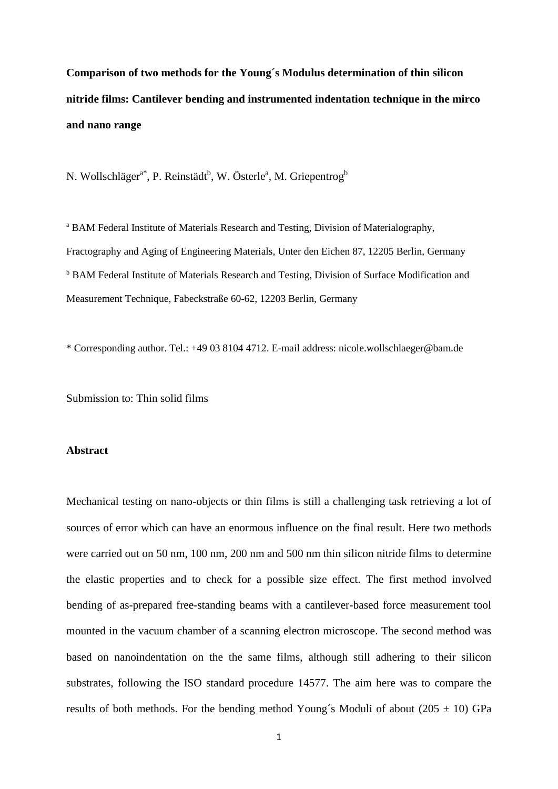**Comparison of two methods for the Young´s Modulus determination of thin silicon nitride films: Cantilever bending and instrumented indentation technique in the mirco and nano range**

N. Wollschläger<sup>a\*</sup>, P. Reinstädt<sup>b</sup>, W. Österle<sup>a</sup>, M. Griepentrog<sup>b</sup>

<sup>a</sup> BAM Federal Institute of Materials Research and Testing, Division of Materialography, Fractography and Aging of Engineering Materials, Unter den Eichen 87, 12205 Berlin, Germany <sup>b</sup> BAM Federal Institute of Materials Research and Testing, Division of Surface Modification and Measurement Technique, Fabeckstraße 60-62, 12203 Berlin, Germany

\* Corresponding author. Tel.: +49 03 8104 4712. E-mail address: nicole.wollschlaeger@bam.de

Submission to: Thin solid films

### **Abstract**

Mechanical testing on nano-objects or thin films is still a challenging task retrieving a lot of sources of error which can have an enormous influence on the final result. Here two methods were carried out on 50 nm, 100 nm, 200 nm and 500 nm thin silicon nitride films to determine the elastic properties and to check for a possible size effect. The first method involved bending of as-prepared free-standing beams with a cantilever-based force measurement tool mounted in the vacuum chamber of a scanning electron microscope. The second method was based on nanoindentation on the the same films, although still adhering to their silicon substrates, following the ISO standard procedure 14577. The aim here was to compare the results of both methods. For the bending method Young's Moduli of about ( $205 \pm 10$ ) GPa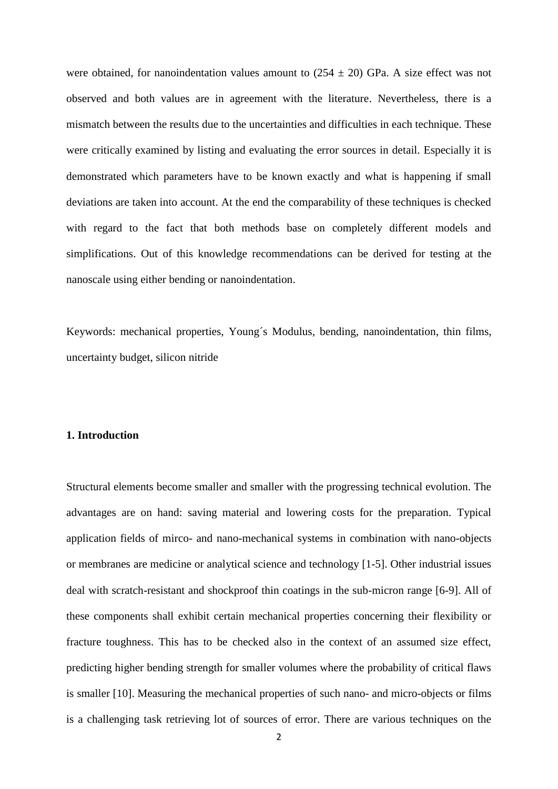were obtained, for nanoindentation values amount to  $(254 \pm 20)$  GPa. A size effect was not observed and both values are in agreement with the literature. Nevertheless, there is a mismatch between the results due to the uncertainties and difficulties in each technique. These were critically examined by listing and evaluating the error sources in detail. Especially it is demonstrated which parameters have to be known exactly and what is happening if small deviations are taken into account. At the end the comparability of these techniques is checked with regard to the fact that both methods base on completely different models and simplifications. Out of this knowledge recommendations can be derived for testing at the nanoscale using either bending or nanoindentation.

Keywords: mechanical properties, Young´s Modulus, bending, nanoindentation, thin films, uncertainty budget, silicon nitride

# **1. Introduction**

Structural elements become smaller and smaller with the progressing technical evolution. The advantages are on hand: saving material and lowering costs for the preparation. Typical application fields of mirco- and nano-mechanical systems in combination with nano-objects or membranes are medicine or analytical science and technology [1-5]. Other industrial issues deal with scratch-resistant and shockproof thin coatings in the sub-micron range [6-9]. All of these components shall exhibit certain mechanical properties concerning their flexibility or fracture toughness. This has to be checked also in the context of an assumed size effect, predicting higher bending strength for smaller volumes where the probability of critical flaws is smaller [10]. Measuring the mechanical properties of such nano- and micro-objects or films is a challenging task retrieving lot of sources of error. There are various techniques on the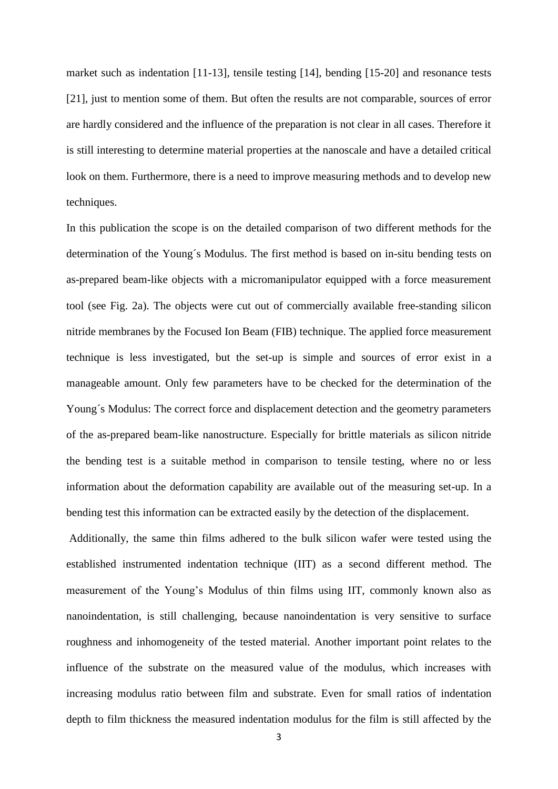market such as indentation [11-13], tensile testing [14], bending [15-20] and resonance tests [21], just to mention some of them. But often the results are not comparable, sources of error are hardly considered and the influence of the preparation is not clear in all cases. Therefore it is still interesting to determine material properties at the nanoscale and have a detailed critical look on them. Furthermore, there is a need to improve measuring methods and to develop new techniques.

In this publication the scope is on the detailed comparison of two different methods for the determination of the Young´s Modulus. The first method is based on in-situ bending tests on as-prepared beam-like objects with a micromanipulator equipped with a force measurement tool (see Fig. 2a). The objects were cut out of commercially available free-standing silicon nitride membranes by the Focused Ion Beam (FIB) technique. The applied force measurement technique is less investigated, but the set-up is simple and sources of error exist in a manageable amount. Only few parameters have to be checked for the determination of the Young´s Modulus: The correct force and displacement detection and the geometry parameters of the as-prepared beam-like nanostructure. Especially for brittle materials as silicon nitride the bending test is a suitable method in comparison to tensile testing, where no or less information about the deformation capability are available out of the measuring set-up. In a bending test this information can be extracted easily by the detection of the displacement.

Additionally, the same thin films adhered to the bulk silicon wafer were tested using the established instrumented indentation technique (IIT) as a second different method. The measurement of the Young's Modulus of thin films using IIT, commonly known also as nanoindentation, is still challenging, because nanoindentation is very sensitive to surface roughness and inhomogeneity of the tested material. Another important point relates to the influence of the substrate on the measured value of the modulus, which increases with increasing modulus ratio between film and substrate. Even for small ratios of indentation depth to film thickness the measured indentation modulus for the film is still affected by the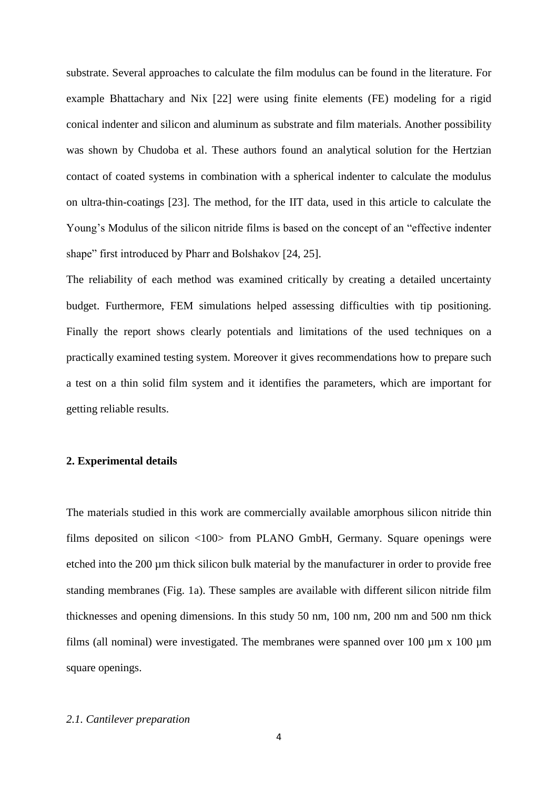substrate. Several approaches to calculate the film modulus can be found in the literature. For example Bhattachary and Nix [22] were using finite elements (FE) modeling for a rigid conical indenter and silicon and aluminum as substrate and film materials. Another possibility was shown by Chudoba et al. These authors found an analytical solution for the Hertzian contact of coated systems in combination with a spherical indenter to calculate the modulus on ultra-thin-coatings [23]. The method, for the IIT data, used in this article to calculate the Young's Modulus of the silicon nitride films is based on the concept of an "effective indenter shape" first introduced by Pharr and Bolshakov [24, 25].

The reliability of each method was examined critically by creating a detailed uncertainty budget. Furthermore, FEM simulations helped assessing difficulties with tip positioning. Finally the report shows clearly potentials and limitations of the used techniques on a practically examined testing system. Moreover it gives recommendations how to prepare such a test on a thin solid film system and it identifies the parameters, which are important for getting reliable results.

# **2. Experimental details**

The materials studied in this work are commercially available amorphous silicon nitride thin films deposited on silicon <100> from PLANO GmbH, Germany. Square openings were etched into the 200 µm thick silicon bulk material by the manufacturer in order to provide free standing membranes (Fig. 1a). These samples are available with different silicon nitride film thicknesses and opening dimensions. In this study 50 nm, 100 nm, 200 nm and 500 nm thick films (all nominal) were investigated. The membranes were spanned over 100  $\mu$ m x 100  $\mu$ m square openings.

## *2.1. Cantilever preparation*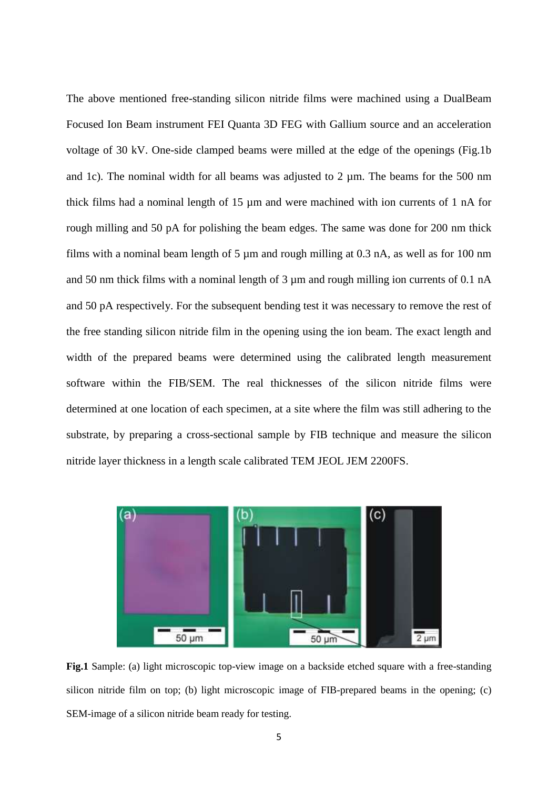The above mentioned free-standing silicon nitride films were machined using a DualBeam Focused Ion Beam instrument FEI Quanta 3D FEG with Gallium source and an acceleration voltage of 30 kV. One-side clamped beams were milled at the edge of the openings (Fig.1b and 1c). The nominal width for all beams was adjusted to 2  $\mu$ m. The beams for the 500 nm thick films had a nominal length of 15 µm and were machined with ion currents of 1 nA for rough milling and 50 pA for polishing the beam edges. The same was done for 200 nm thick films with a nominal beam length of 5  $\mu$ m and rough milling at 0.3 nA, as well as for 100 nm and 50 nm thick films with a nominal length of  $3 \mu$ m and rough milling ion currents of 0.1 nA and 50 pA respectively. For the subsequent bending test it was necessary to remove the rest of the free standing silicon nitride film in the opening using the ion beam. The exact length and width of the prepared beams were determined using the calibrated length measurement software within the FIB/SEM. The real thicknesses of the silicon nitride films were determined at one location of each specimen, at a site where the film was still adhering to the substrate, by preparing a cross-sectional sample by FIB technique and measure the silicon nitride layer thickness in a length scale calibrated TEM JEOL JEM 2200FS.



**Fig.1** Sample: (a) light microscopic top-view image on a backside etched square with a free-standing silicon nitride film on top; (b) light microscopic image of FIB-prepared beams in the opening; (c) SEM-image of a silicon nitride beam ready for testing.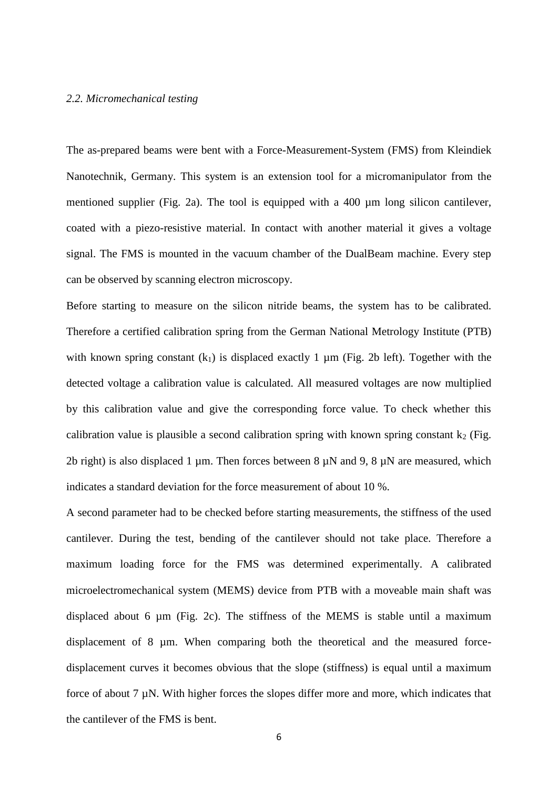#### *2.2. Micromechanical testing*

The as-prepared beams were bent with a Force-Measurement-System (FMS) from Kleindiek Nanotechnik, Germany. This system is an extension tool for a micromanipulator from the mentioned supplier (Fig. 2a). The tool is equipped with a 400 µm long silicon cantilever, coated with a piezo-resistive material. In contact with another material it gives a voltage signal. The FMS is mounted in the vacuum chamber of the DualBeam machine. Every step can be observed by scanning electron microscopy.

Before starting to measure on the silicon nitride beams, the system has to be calibrated. Therefore a certified calibration spring from the German National Metrology Institute (PTB) with known spring constant  $(k_1)$  is displaced exactly 1  $\mu$ m (Fig. 2b left). Together with the detected voltage a calibration value is calculated. All measured voltages are now multiplied by this calibration value and give the corresponding force value. To check whether this calibration value is plausible a second calibration spring with known spring constant  $k_2$  (Fig. 2b right) is also displaced 1 µm. Then forces between 8  $\mu$ N and 9, 8  $\mu$ N are measured, which indicates a standard deviation for the force measurement of about 10 %.

A second parameter had to be checked before starting measurements, the stiffness of the used cantilever. During the test, bending of the cantilever should not take place. Therefore a maximum loading force for the FMS was determined experimentally. A calibrated microelectromechanical system (MEMS) device from PTB with a moveable main shaft was displaced about 6 µm (Fig. 2c). The stiffness of the MEMS is stable until a maximum displacement of 8  $\mu$ m. When comparing both the theoretical and the measured forcedisplacement curves it becomes obvious that the slope (stiffness) is equal until a maximum force of about 7 µN. With higher forces the slopes differ more and more, which indicates that the cantilever of the FMS is bent.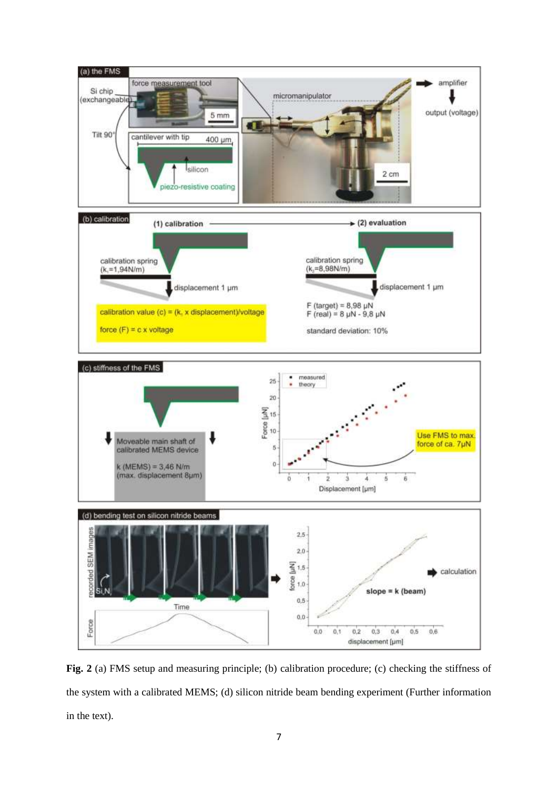

Fig. 2 (a) FMS setup and measuring principle; (b) calibration procedure; (c) checking the stiffness of the system with a calibrated MEMS; (d) silicon nitride beam bending experiment (Further information in the text).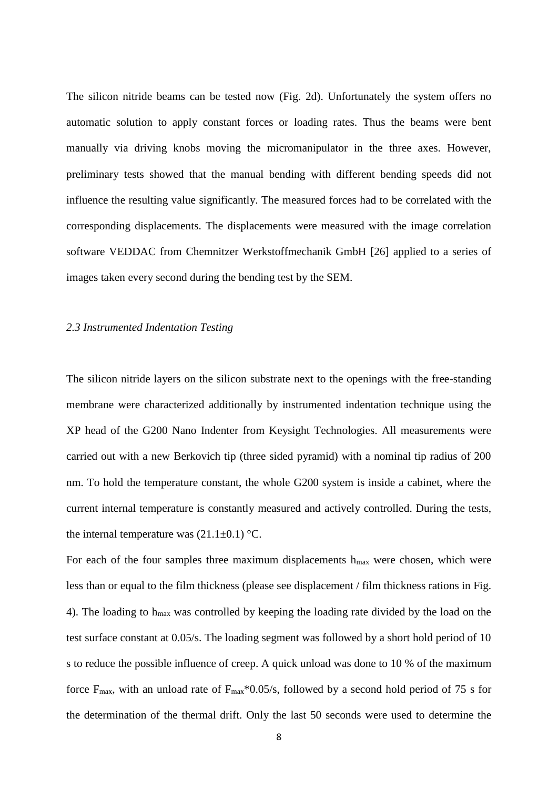The silicon nitride beams can be tested now (Fig. 2d). Unfortunately the system offers no automatic solution to apply constant forces or loading rates. Thus the beams were bent manually via driving knobs moving the micromanipulator in the three axes. However, preliminary tests showed that the manual bending with different bending speeds did not influence the resulting value significantly. The measured forces had to be correlated with the corresponding displacements. The displacements were measured with the image correlation software VEDDAC from Chemnitzer Werkstoffmechanik GmbH [26] applied to a series of images taken every second during the bending test by the SEM.

## *2.3 Instrumented Indentation Testing*

The silicon nitride layers on the silicon substrate next to the openings with the free-standing membrane were characterized additionally by instrumented indentation technique using the XP head of the G200 Nano Indenter from Keysight Technologies. All measurements were carried out with a new Berkovich tip (three sided pyramid) with a nominal tip radius of 200 nm. To hold the temperature constant, the whole G200 system is inside a cabinet, where the current internal temperature is constantly measured and actively controlled. During the tests, the internal temperature was  $(21.1\pm0.1)$  °C.

For each of the four samples three maximum displacements h<sub>max</sub> were chosen, which were less than or equal to the film thickness (please see displacement / film thickness rations in Fig. 4). The loading to hmax was controlled by keeping the loading rate divided by the load on the test surface constant at 0.05/s. The loading segment was followed by a short hold period of 10 s to reduce the possible influence of creep. A quick unload was done to 10 % of the maximum force  $F_{\text{max}}$ , with an unload rate of  $F_{\text{max}}$ \*0.05/s, followed by a second hold period of 75 s for the determination of the thermal drift. Only the last 50 seconds were used to determine the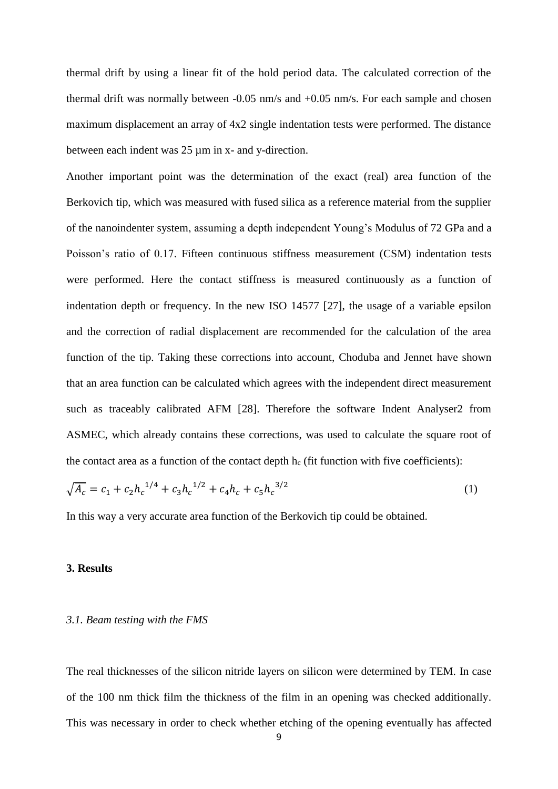thermal drift by using a linear fit of the hold period data. The calculated correction of the thermal drift was normally between -0.05 nm/s and +0.05 nm/s. For each sample and chosen maximum displacement an array of 4x2 single indentation tests were performed. The distance between each indent was 25 µm in x- and y-direction.

Another important point was the determination of the exact (real) area function of the Berkovich tip, which was measured with fused silica as a reference material from the supplier of the nanoindenter system, assuming a depth independent Young's Modulus of 72 GPa and a Poisson's ratio of 0.17. Fifteen continuous stiffness measurement (CSM) indentation tests were performed. Here the contact stiffness is measured continuously as a function of indentation depth or frequency. In the new ISO 14577 [27], the usage of a variable epsilon and the correction of radial displacement are recommended for the calculation of the area function of the tip. Taking these corrections into account, Choduba and Jennet have shown that an area function can be calculated which agrees with the independent direct measurement such as traceably calibrated AFM [28]. Therefore the software Indent Analyser2 from ASMEC, which already contains these corrections, was used to calculate the square root of the contact area as a function of the contact depth  $h_c$  (fit function with five coefficients):

$$
\sqrt{A_c} = c_1 + c_2 h_c^{1/4} + c_3 h_c^{1/2} + c_4 h_c + c_5 h_c^{3/2}
$$
\n(1)

In this way a very accurate area function of the Berkovich tip could be obtained.

### **3. Results**

### *3.1. Beam testing with the FMS*

The real thicknesses of the silicon nitride layers on silicon were determined by TEM. In case of the 100 nm thick film the thickness of the film in an opening was checked additionally. This was necessary in order to check whether etching of the opening eventually has affected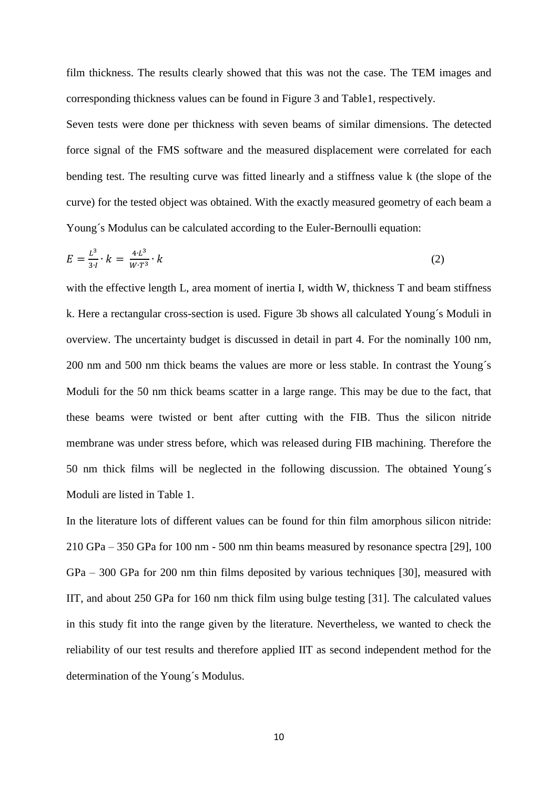film thickness. The results clearly showed that this was not the case. The TEM images and corresponding thickness values can be found in Figure 3 and Table1, respectively.

Seven tests were done per thickness with seven beams of similar dimensions. The detected force signal of the FMS software and the measured displacement were correlated for each bending test. The resulting curve was fitted linearly and a stiffness value k (the slope of the curve) for the tested object was obtained. With the exactly measured geometry of each beam a Young´s Modulus can be calculated according to the Euler-Bernoulli equation:

$$
E = \frac{L^3}{3 \cdot l} \cdot k = \frac{4 \cdot L^3}{W \cdot T^3} \cdot k \tag{2}
$$

with the effective length L, area moment of inertia I, width W, thickness T and beam stiffness k. Here a rectangular cross-section is used. Figure 3b shows all calculated Young´s Moduli in overview. The uncertainty budget is discussed in detail in part 4. For the nominally 100 nm, 200 nm and 500 nm thick beams the values are more or less stable. In contrast the Young´s Moduli for the 50 nm thick beams scatter in a large range. This may be due to the fact, that these beams were twisted or bent after cutting with the FIB. Thus the silicon nitride membrane was under stress before, which was released during FIB machining. Therefore the 50 nm thick films will be neglected in the following discussion. The obtained Young´s Moduli are listed in Table 1.

In the literature lots of different values can be found for thin film amorphous silicon nitride: 210 GPa – 350 GPa for 100 nm - 500 nm thin beams measured by resonance spectra [29], 100 GPa – 300 GPa for 200 nm thin films deposited by various techniques [30], measured with IIT, and about 250 GPa for 160 nm thick film using bulge testing [31]. The calculated values in this study fit into the range given by the literature. Nevertheless, we wanted to check the reliability of our test results and therefore applied IIT as second independent method for the determination of the Young´s Modulus.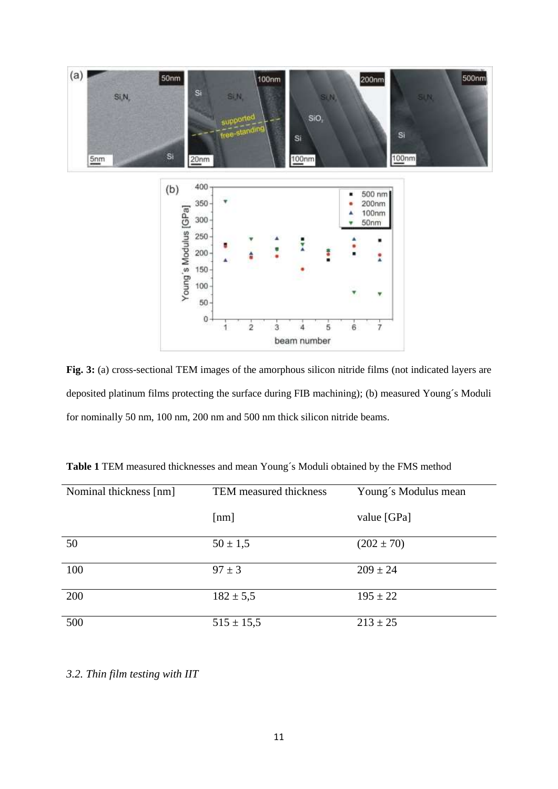

**Fig. 3:** (a) cross-sectional TEM images of the amorphous silicon nitride films (not indicated layers are deposited platinum films protecting the surface during FIB machining); (b) measured Young´s Moduli for nominally 50 nm, 100 nm, 200 nm and 500 nm thick silicon nitride beams.

| Nominal thickness [nm] | TEM measured thickness | Young's Modulus mean |
|------------------------|------------------------|----------------------|
|                        | [nm]                   | value [GPa]          |
| 50                     | $50 \pm 1,5$           | $(202 \pm 70)$       |
| 100                    | $97 \pm 3$             | $209 \pm 24$         |
| 200                    | $182 \pm 5,5$          | $195 \pm 22$         |
| 500                    | $515 \pm 15,5$         | $213 \pm 25$         |

**Table 1** TEM measured thicknesses and mean Young´s Moduli obtained by the FMS method

*3.2. Thin film testing with IIT*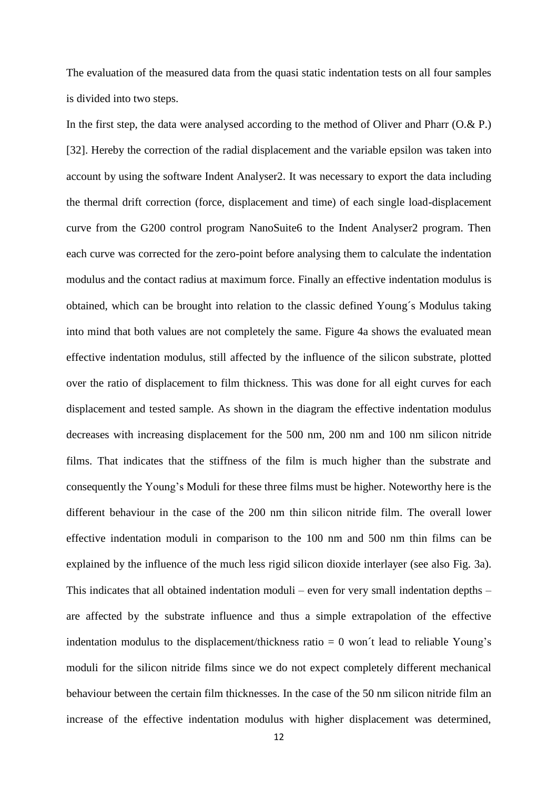The evaluation of the measured data from the quasi static indentation tests on all four samples is divided into two steps.

In the first step, the data were analysed according to the method of Oliver and Pharr (O.& P.) [32]. Hereby the correction of the radial displacement and the variable epsilon was taken into account by using the software Indent Analyser2. It was necessary to export the data including the thermal drift correction (force, displacement and time) of each single load-displacement curve from the G200 control program NanoSuite6 to the Indent Analyser2 program. Then each curve was corrected for the zero-point before analysing them to calculate the indentation modulus and the contact radius at maximum force. Finally an effective indentation modulus is obtained, which can be brought into relation to the classic defined Young´s Modulus taking into mind that both values are not completely the same. Figure 4a shows the evaluated mean effective indentation modulus, still affected by the influence of the silicon substrate, plotted over the ratio of displacement to film thickness. This was done for all eight curves for each displacement and tested sample. As shown in the diagram the effective indentation modulus decreases with increasing displacement for the 500 nm, 200 nm and 100 nm silicon nitride films. That indicates that the stiffness of the film is much higher than the substrate and consequently the Young's Moduli for these three films must be higher. Noteworthy here is the different behaviour in the case of the 200 nm thin silicon nitride film. The overall lower effective indentation moduli in comparison to the 100 nm and 500 nm thin films can be explained by the influence of the much less rigid silicon dioxide interlayer (see also Fig. 3a). This indicates that all obtained indentation moduli – even for very small indentation depths – are affected by the substrate influence and thus a simple extrapolation of the effective indentation modulus to the displacement/thickness ratio  $= 0$  won't lead to reliable Young's moduli for the silicon nitride films since we do not expect completely different mechanical behaviour between the certain film thicknesses. In the case of the 50 nm silicon nitride film an increase of the effective indentation modulus with higher displacement was determined,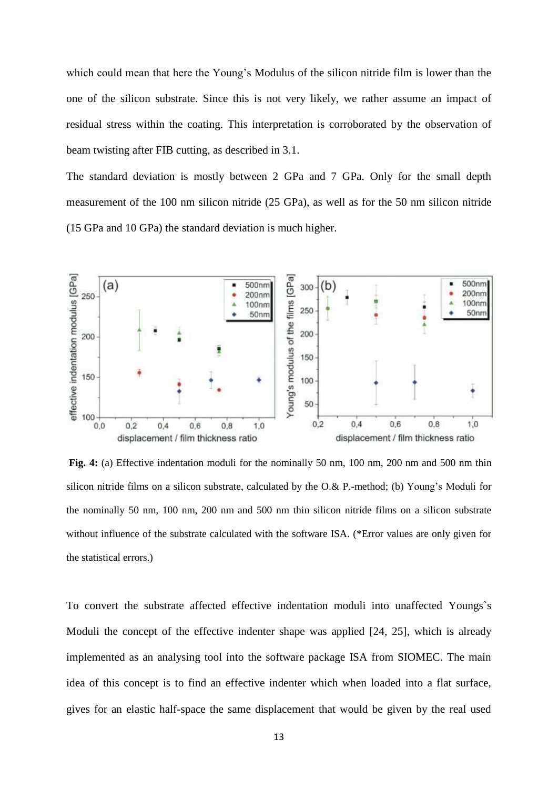which could mean that here the Young's Modulus of the silicon nitride film is lower than the one of the silicon substrate. Since this is not very likely, we rather assume an impact of residual stress within the coating. This interpretation is corroborated by the observation of beam twisting after FIB cutting, as described in 3.1.

The standard deviation is mostly between 2 GPa and 7 GPa. Only for the small depth measurement of the 100 nm silicon nitride (25 GPa), as well as for the 50 nm silicon nitride (15 GPa and 10 GPa) the standard deviation is much higher.



**Fig. 4:** (a) Effective indentation moduli for the nominally 50 nm, 100 nm, 200 nm and 500 nm thin silicon nitride films on a silicon substrate, calculated by the O.& P.-method; (b) Young's Moduli for the nominally 50 nm, 100 nm, 200 nm and 500 nm thin silicon nitride films on a silicon substrate without influence of the substrate calculated with the software ISA. (\*Error values are only given for the statistical errors.)

To convert the substrate affected effective indentation moduli into unaffected Youngs`s Moduli the concept of the effective indenter shape was applied [24, 25], which is already implemented as an analysing tool into the software package ISA from SIOMEC. The main idea of this concept is to find an effective indenter which when loaded into a flat surface, gives for an elastic half-space the same displacement that would be given by the real used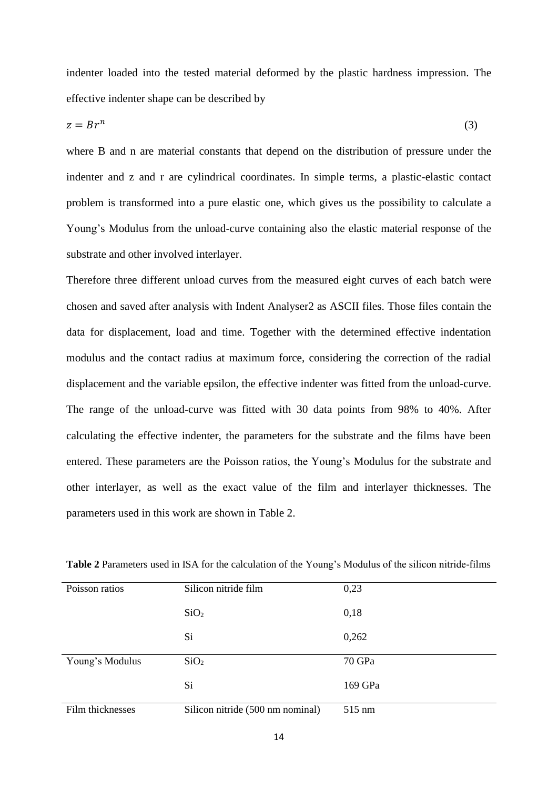indenter loaded into the tested material deformed by the plastic hardness impression. The effective indenter shape can be described by

$$
z = Br^n \tag{3}
$$

where B and n are material constants that depend on the distribution of pressure under the indenter and z and r are cylindrical coordinates. In simple terms, a plastic-elastic contact problem is transformed into a pure elastic one, which gives us the possibility to calculate a Young's Modulus from the unload-curve containing also the elastic material response of the substrate and other involved interlayer.

Therefore three different unload curves from the measured eight curves of each batch were chosen and saved after analysis with Indent Analyser2 as ASCII files. Those files contain the data for displacement, load and time. Together with the determined effective indentation modulus and the contact radius at maximum force, considering the correction of the radial displacement and the variable epsilon, the effective indenter was fitted from the unload-curve. The range of the unload-curve was fitted with 30 data points from 98% to 40%. After calculating the effective indenter, the parameters for the substrate and the films have been entered. These parameters are the Poisson ratios, the Young's Modulus for the substrate and other interlayer, as well as the exact value of the film and interlayer thicknesses. The parameters used in this work are shown in Table 2.

| Poisson ratios   | Silicon nitride film             | 0,23    |
|------------------|----------------------------------|---------|
|                  | SiO <sub>2</sub>                 | 0,18    |
|                  | Si                               | 0,262   |
| Young's Modulus  | SiO <sub>2</sub>                 | 70 GPa  |
|                  | Si                               | 169 GPa |
| Film thicknesses | Silicon nitride (500 nm nominal) | 515 nm  |

**Table 2** Parameters used in ISA for the calculation of the Young's Modulus of the silicon nitride-films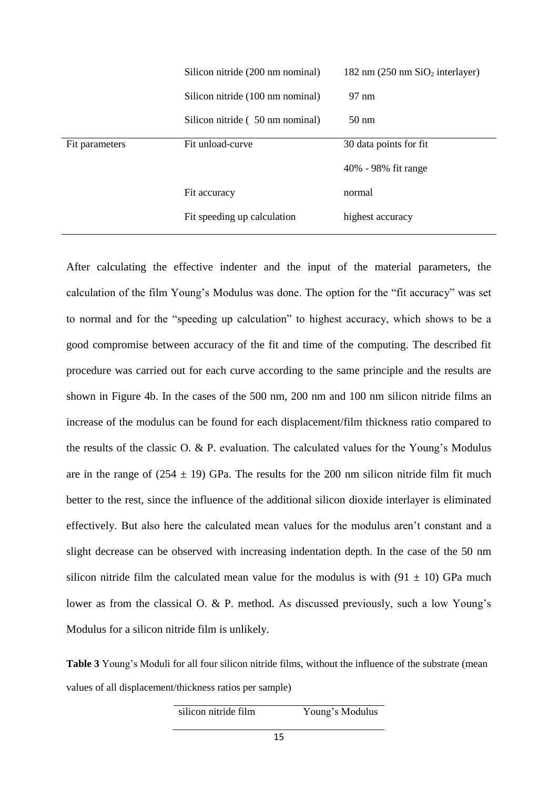|                | Silicon nitride (200 nm nominal) | 182 nm $(250 \text{ nm } \text{SiO}_2 \text{ interlayer})$ |
|----------------|----------------------------------|------------------------------------------------------------|
|                | Silicon nitride (100 nm nominal) | 97 nm                                                      |
|                | Silicon nitride (50 nm nominal)  | $50 \text{ nm}$                                            |
| Fit parameters | Fit unload-curve                 | 30 data points for fit                                     |
|                |                                  | 40% - 98% fit range                                        |
|                | Fit accuracy                     | normal                                                     |
|                | Fit speeding up calculation      | highest accuracy                                           |
|                |                                  |                                                            |

After calculating the effective indenter and the input of the material parameters, the calculation of the film Young's Modulus was done. The option for the "fit accuracy" was set to normal and for the "speeding up calculation" to highest accuracy, which shows to be a good compromise between accuracy of the fit and time of the computing. The described fit procedure was carried out for each curve according to the same principle and the results are shown in Figure 4b. In the cases of the 500 nm, 200 nm and 100 nm silicon nitride films an increase of the modulus can be found for each displacement/film thickness ratio compared to the results of the classic O. & P. evaluation. The calculated values for the Young's Modulus are in the range of  $(254 \pm 19)$  GPa. The results for the 200 nm silicon nitride film fit much better to the rest, since the influence of the additional silicon dioxide interlayer is eliminated effectively. But also here the calculated mean values for the modulus aren't constant and a slight decrease can be observed with increasing indentation depth. In the case of the 50 nm silicon nitride film the calculated mean value for the modulus is with  $(91 \pm 10)$  GPa much lower as from the classical O. & P. method. As discussed previously, such a low Young's Modulus for a silicon nitride film is unlikely.

**Table 3** Young's Moduli for all four silicon nitride films, without the influence of the substrate (mean values of all displacement/thickness ratios per sample)

# silicon nitride film Young's Modulus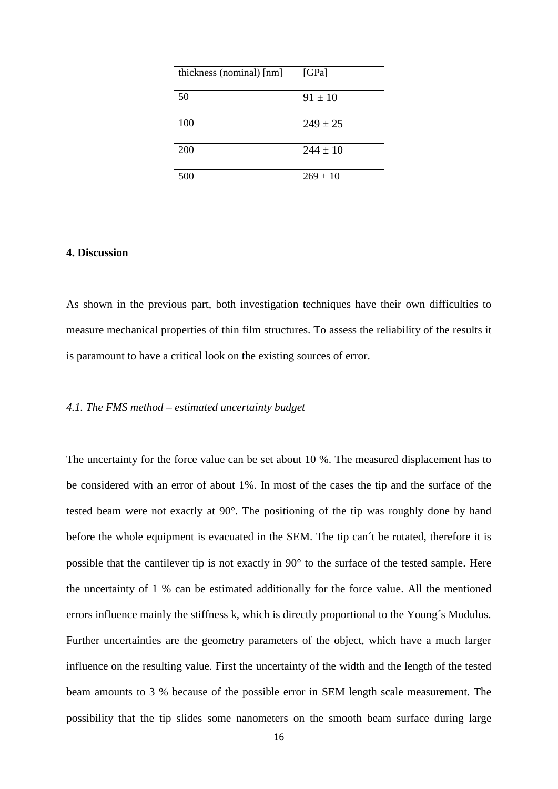| thickness (nominal) [nm] | [GPa]        |
|--------------------------|--------------|
| 50                       | $91 \pm 10$  |
| 100                      | $249 \pm 25$ |
| 200                      | $244 \pm 10$ |
| 500                      | $269 \pm 10$ |

# **4. Discussion**

As shown in the previous part, both investigation techniques have their own difficulties to measure mechanical properties of thin film structures. To assess the reliability of the results it is paramount to have a critical look on the existing sources of error.

## *4.1. The FMS method – estimated uncertainty budget*

The uncertainty for the force value can be set about 10 %. The measured displacement has to be considered with an error of about 1%. In most of the cases the tip and the surface of the tested beam were not exactly at 90°. The positioning of the tip was roughly done by hand before the whole equipment is evacuated in the SEM. The tip can´t be rotated, therefore it is possible that the cantilever tip is not exactly in 90° to the surface of the tested sample. Here the uncertainty of 1 % can be estimated additionally for the force value. All the mentioned errors influence mainly the stiffness k, which is directly proportional to the Young´s Modulus. Further uncertainties are the geometry parameters of the object, which have a much larger influence on the resulting value. First the uncertainty of the width and the length of the tested beam amounts to 3 % because of the possible error in SEM length scale measurement. The possibility that the tip slides some nanometers on the smooth beam surface during large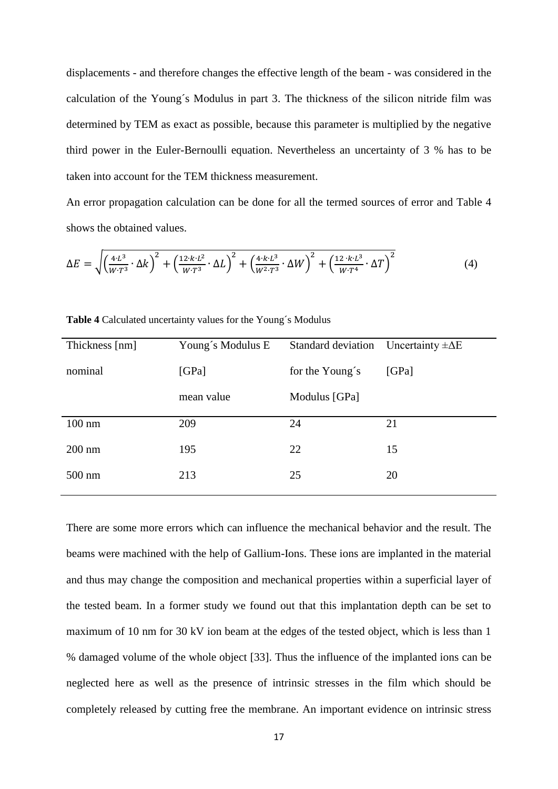displacements - and therefore changes the effective length of the beam - was considered in the calculation of the Young´s Modulus in part 3. The thickness of the silicon nitride film was determined by TEM as exact as possible, because this parameter is multiplied by the negative third power in the Euler-Bernoulli equation. Nevertheless an uncertainty of 3 % has to be taken into account for the TEM thickness measurement.

An error propagation calculation can be done for all the termed sources of error and Table 4 shows the obtained values.

$$
\Delta E = \sqrt{\left(\frac{4 \cdot L^3}{W \cdot T^3} \cdot \Delta k\right)^2 + \left(\frac{12 \cdot k \cdot L^2}{W \cdot T^3} \cdot \Delta L\right)^2 + \left(\frac{4 \cdot k \cdot L^3}{W^2 \cdot T^3} \cdot \Delta W\right)^2 + \left(\frac{12 \cdot k \cdot L^3}{W \cdot T^4} \cdot \Delta T\right)^2}
$$
(4)

| Young's Modulus E | Standard deviation Uncertainty $\pm \Delta E$ |       |
|-------------------|-----------------------------------------------|-------|
| [GPa]             | for the Young's                               | [GPa] |
| mean value        | Modulus [GPa]                                 |       |
|                   |                                               | 21    |
|                   |                                               |       |
| 195               | 22                                            | 15    |
| 213               | 25                                            | 20    |
|                   | 209                                           | 24    |

**Table 4** Calculated uncertainty values for the Young´s Modulus

There are some more errors which can influence the mechanical behavior and the result. The beams were machined with the help of Gallium-Ions. These ions are implanted in the material and thus may change the composition and mechanical properties within a superficial layer of the tested beam. In a former study we found out that this implantation depth can be set to maximum of 10 nm for 30 kV ion beam at the edges of the tested object, which is less than 1 % damaged volume of the whole object [33]. Thus the influence of the implanted ions can be neglected here as well as the presence of intrinsic stresses in the film which should be completely released by cutting free the membrane. An important evidence on intrinsic stress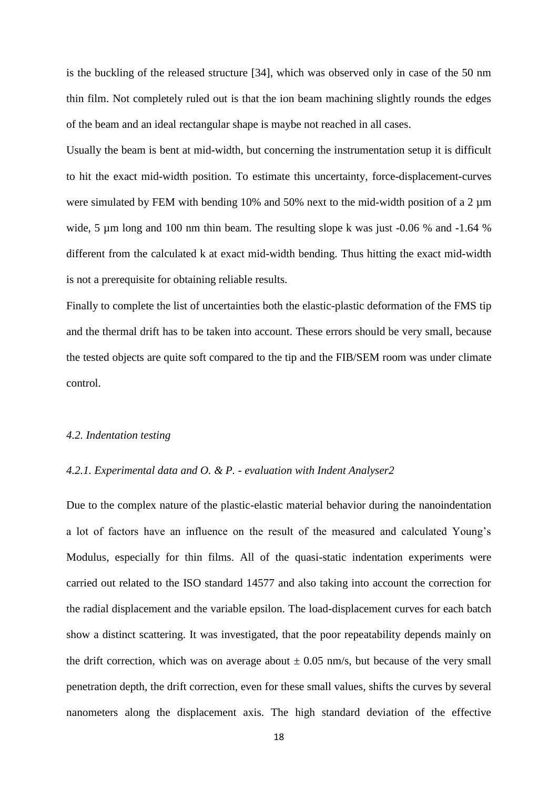is the buckling of the released structure [34], which was observed only in case of the 50 nm thin film. Not completely ruled out is that the ion beam machining slightly rounds the edges of the beam and an ideal rectangular shape is maybe not reached in all cases.

Usually the beam is bent at mid-width, but concerning the instrumentation setup it is difficult to hit the exact mid-width position. To estimate this uncertainty, force-displacement-curves were simulated by FEM with bending 10% and 50% next to the mid-width position of a 2  $\mu$ m wide, 5 µm long and 100 nm thin beam. The resulting slope k was just -0.06 % and -1.64 % different from the calculated k at exact mid-width bending. Thus hitting the exact mid-width is not a prerequisite for obtaining reliable results.

Finally to complete the list of uncertainties both the elastic-plastic deformation of the FMS tip and the thermal drift has to be taken into account. These errors should be very small, because the tested objects are quite soft compared to the tip and the FIB/SEM room was under climate control.

#### *4.2. Indentation testing*

## *4.2.1. Experimental data and O. & P. - evaluation with Indent Analyser2*

Due to the complex nature of the plastic-elastic material behavior during the nanoindentation a lot of factors have an influence on the result of the measured and calculated Young's Modulus, especially for thin films. All of the quasi-static indentation experiments were carried out related to the ISO standard 14577 and also taking into account the correction for the radial displacement and the variable epsilon. The load-displacement curves for each batch show a distinct scattering. It was investigated, that the poor repeatability depends mainly on the drift correction, which was on average about  $\pm$  0.05 nm/s, but because of the very small penetration depth, the drift correction, even for these small values, shifts the curves by several nanometers along the displacement axis. The high standard deviation of the effective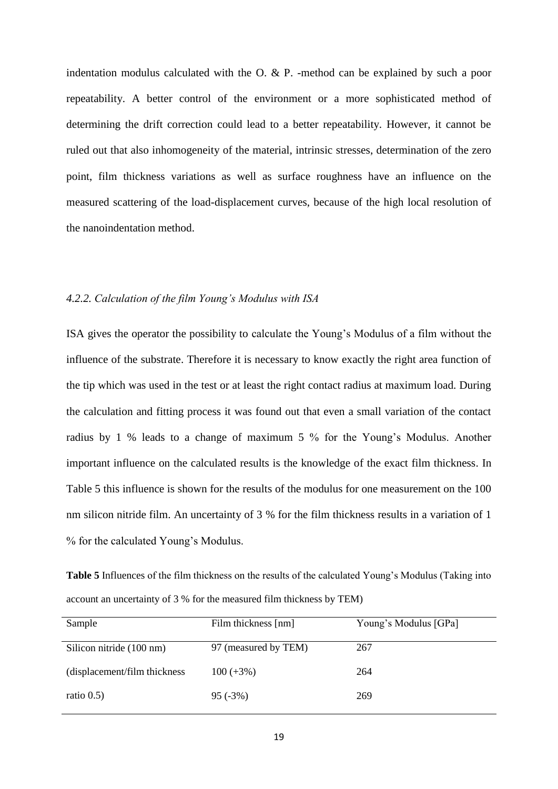indentation modulus calculated with the O. & P. -method can be explained by such a poor repeatability. A better control of the environment or a more sophisticated method of determining the drift correction could lead to a better repeatability. However, it cannot be ruled out that also inhomogeneity of the material, intrinsic stresses, determination of the zero point, film thickness variations as well as surface roughness have an influence on the measured scattering of the load-displacement curves, because of the high local resolution of the nanoindentation method.

# *4.2.2. Calculation of the film Young's Modulus with ISA*

ISA gives the operator the possibility to calculate the Young's Modulus of a film without the influence of the substrate. Therefore it is necessary to know exactly the right area function of the tip which was used in the test or at least the right contact radius at maximum load. During the calculation and fitting process it was found out that even a small variation of the contact radius by 1 % leads to a change of maximum 5 % for the Young's Modulus. Another important influence on the calculated results is the knowledge of the exact film thickness. In Table 5 this influence is shown for the results of the modulus for one measurement on the 100 nm silicon nitride film. An uncertainty of 3 % for the film thickness results in a variation of 1 % for the calculated Young's Modulus.

**Table 5** Influences of the film thickness on the results of the calculated Young's Modulus (Taking into account an uncertainty of 3 % for the measured film thickness by TEM)

| Sample                        | Film thickness [nm]  | Young's Modulus [GPa] |
|-------------------------------|----------------------|-----------------------|
| Silicon nitride (100 nm)      | 97 (measured by TEM) | 267                   |
| (displacement/film thickness) | $100 (+3%)$          | 264                   |
| ratio $0.5$ )                 | $95(-3%)$            | 269                   |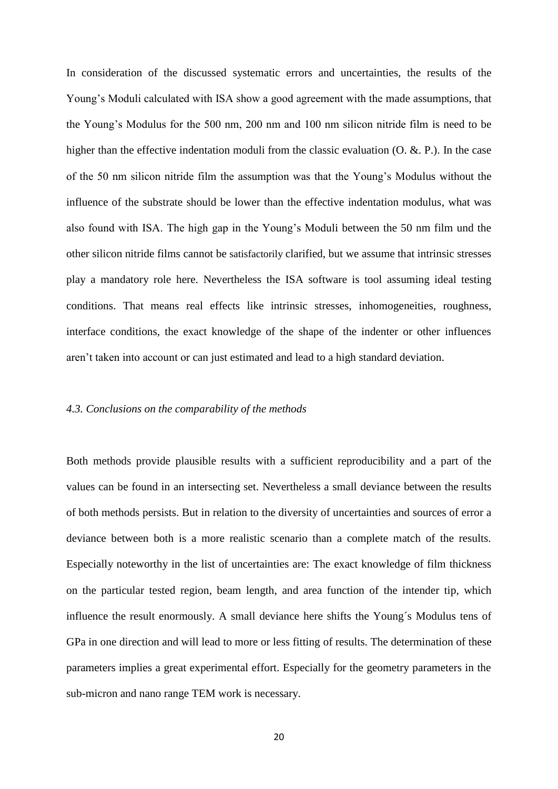In consideration of the discussed systematic errors and uncertainties, the results of the Young's Moduli calculated with ISA show a good agreement with the made assumptions, that the Young's Modulus for the 500 nm, 200 nm and 100 nm silicon nitride film is need to be higher than the effective indentation moduli from the classic evaluation (O. &. P.). In the case of the 50 nm silicon nitride film the assumption was that the Young's Modulus without the influence of the substrate should be lower than the effective indentation modulus, what was also found with ISA. The high gap in the Young's Moduli between the 50 nm film und the other silicon nitride films cannot be satisfactorily clarified, but we assume that intrinsic stresses play a mandatory role here. Nevertheless the ISA software is tool assuming ideal testing conditions. That means real effects like intrinsic stresses, inhomogeneities, roughness, interface conditions, the exact knowledge of the shape of the indenter or other influences aren't taken into account or can just estimated and lead to a high standard deviation.

## *4.3. Conclusions on the comparability of the methods*

Both methods provide plausible results with a sufficient reproducibility and a part of the values can be found in an intersecting set. Nevertheless a small deviance between the results of both methods persists. But in relation to the diversity of uncertainties and sources of error a deviance between both is a more realistic scenario than a complete match of the results. Especially noteworthy in the list of uncertainties are: The exact knowledge of film thickness on the particular tested region, beam length, and area function of the intender tip, which influence the result enormously. A small deviance here shifts the Young´s Modulus tens of GPa in one direction and will lead to more or less fitting of results. The determination of these parameters implies a great experimental effort. Especially for the geometry parameters in the sub-micron and nano range TEM work is necessary.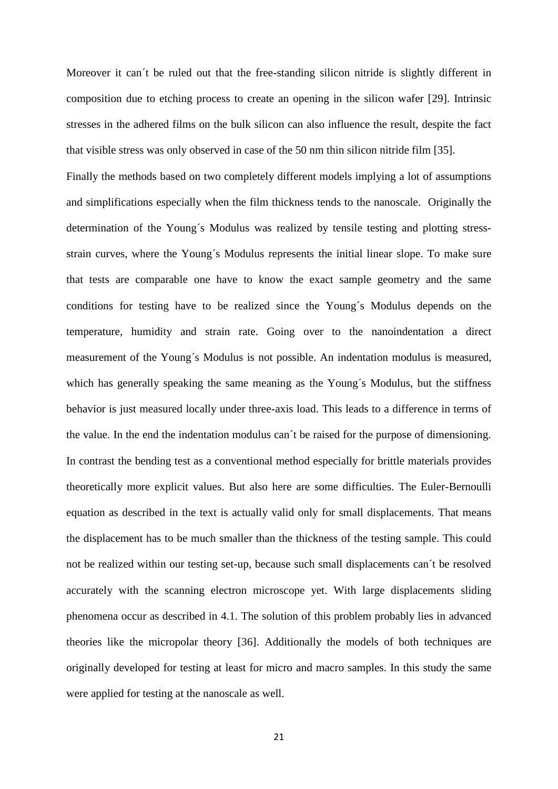Moreover it can´t be ruled out that the free-standing silicon nitride is slightly different in composition due to etching process to create an opening in the silicon wafer [29]. Intrinsic stresses in the adhered films on the bulk silicon can also influence the result, despite the fact that visible stress was only observed in case of the 50 nm thin silicon nitride film [35].

Finally the methods based on two completely different models implying a lot of assumptions and simplifications especially when the film thickness tends to the nanoscale. Originally the determination of the Young´s Modulus was realized by tensile testing and plotting stressstrain curves, where the Young´s Modulus represents the initial linear slope. To make sure that tests are comparable one have to know the exact sample geometry and the same conditions for testing have to be realized since the Young´s Modulus depends on the temperature, humidity and strain rate. Going over to the nanoindentation a direct measurement of the Young´s Modulus is not possible. An indentation modulus is measured, which has generally speaking the same meaning as the Young's Modulus, but the stiffness behavior is just measured locally under three-axis load. This leads to a difference in terms of the value. In the end the indentation modulus can´t be raised for the purpose of dimensioning. In contrast the bending test as a conventional method especially for brittle materials provides theoretically more explicit values. But also here are some difficulties. The Euler-Bernoulli equation as described in the text is actually valid only for small displacements. That means the displacement has to be much smaller than the thickness of the testing sample. This could not be realized within our testing set-up, because such small displacements can´t be resolved accurately with the scanning electron microscope yet. With large displacements sliding phenomena occur as described in 4.1. The solution of this problem probably lies in advanced theories like the micropolar theory [36]. Additionally the models of both techniques are originally developed for testing at least for micro and macro samples. In this study the same were applied for testing at the nanoscale as well.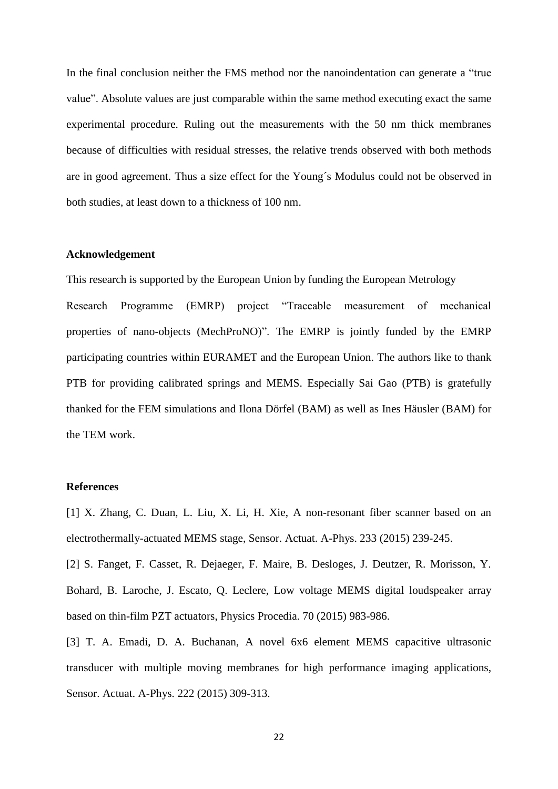In the final conclusion neither the FMS method nor the nanoindentation can generate a "true value". Absolute values are just comparable within the same method executing exact the same experimental procedure. Ruling out the measurements with the 50 nm thick membranes because of difficulties with residual stresses, the relative trends observed with both methods are in good agreement. Thus a size effect for the Young´s Modulus could not be observed in both studies, at least down to a thickness of 100 nm.

## **Acknowledgement**

This research is supported by the European Union by funding the European Metrology

Research Programme (EMRP) project "Traceable measurement of mechanical properties of nano-objects (MechProNO)". The EMRP is jointly funded by the EMRP participating countries within EURAMET and the European Union. The authors like to thank PTB for providing calibrated springs and MEMS. Especially Sai Gao (PTB) is gratefully thanked for the FEM simulations and Ilona Dörfel (BAM) as well as Ines Häusler (BAM) for the TEM work.

## **References**

[1] X. Zhang, C. Duan, L. Liu, X. Li, H. Xie, A non-resonant fiber scanner based on an electrothermally-actuated MEMS stage, Sensor. Actuat. A-Phys. 233 (2015) 239-245.

[2] S. Fanget, F. Casset, R. Dejaeger, F. Maire, B. Desloges, J. Deutzer, R. Morisson, Y. Bohard, B. Laroche, J. Escato, Q. Leclere, Low voltage MEMS digital loudspeaker array based on thin-film PZT actuators, Physics Procedia. 70 (2015) 983-986.

[3] T. A. Emadi, D. A. Buchanan, A novel 6x6 element MEMS capacitive ultrasonic transducer with multiple moving membranes for high performance imaging applications, Sensor. Actuat. A-Phys. 222 (2015) 309-313.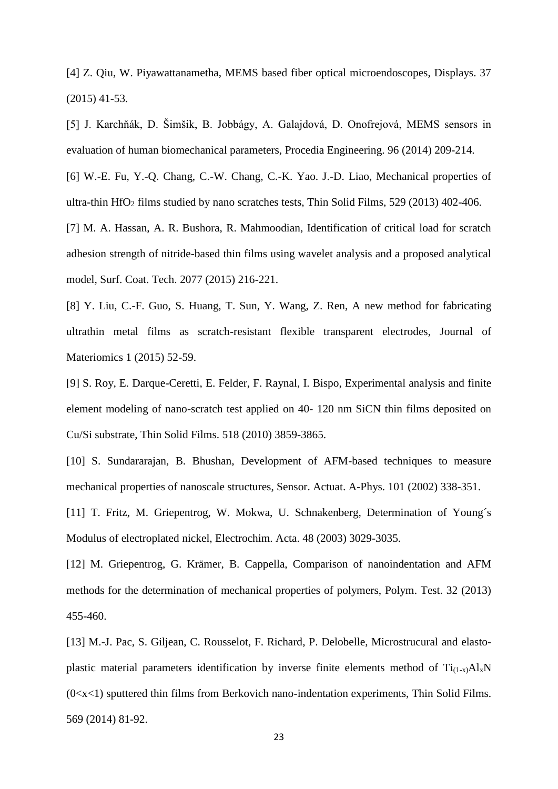[4] Z. Qiu, W. Piyawattanametha, MEMS based fiber optical microendoscopes, Displays. 37 (2015) 41-53.

[5] J. Karchňák, D. Šimšik, B. Jobbágy, A. Galajdová, D. Onofrejová, MEMS sensors in evaluation of human biomechanical parameters, Procedia Engineering. 96 (2014) 209-214.

[6] W.-E. Fu, Y.-Q. Chang, C.-W. Chang, C.-K. Yao. J.-D. Liao, Mechanical properties of ultra-thin HfO<sup>2</sup> films studied by nano scratches tests, Thin Solid Films, 529 (2013) 402-406.

[7] M. A. Hassan, A. R. Bushora, R. Mahmoodian, Identification of critical load for scratch adhesion strength of nitride-based thin films using wavelet analysis and a proposed analytical model, Surf. Coat. Tech. 2077 (2015) 216-221.

[8] Y. Liu, C.-F. Guo, S. Huang, T. Sun, Y. Wang, Z. Ren, A new method for fabricating ultrathin metal films as scratch-resistant flexible transparent electrodes, Journal of Materiomics 1 (2015) 52-59.

[9] S. Roy, E. Darque-Ceretti, E. Felder, F. Raynal, I. Bispo, Experimental analysis and finite element modeling of nano-scratch test applied on 40- 120 nm SiCN thin films deposited on Cu/Si substrate, Thin Solid Films. 518 (2010) 3859-3865.

[10] S. Sundararajan, B. Bhushan, Development of AFM-based techniques to measure mechanical properties of nanoscale structures, Sensor. Actuat. A-Phys. 101 (2002) 338-351.

[11] T. Fritz, M. Griepentrog, W. Mokwa, U. Schnakenberg, Determination of Young´s Modulus of electroplated nickel, Electrochim. Acta. 48 (2003) 3029-3035.

[12] M. Griepentrog, G. Krämer, B. Cappella, Comparison of nanoindentation and AFM methods for the determination of mechanical properties of polymers, Polym. Test. 32 (2013) 455-460.

[13] M.-J. Pac, S. Giljean, C. Rousselot, F. Richard, P. Delobelle, Microstrucural and elastoplastic material parameters identification by inverse finite elements method of  $Ti_{(1-x)}Al_xN$  $(0 \lt x \lt 1)$  sputtered thin films from Berkovich nano-indentation experiments, Thin Solid Films. 569 (2014) 81-92.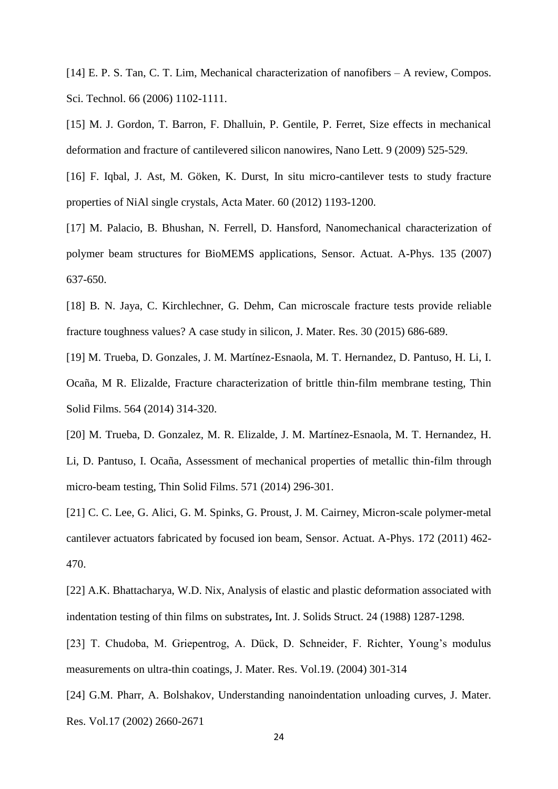[14] E. P. S. Tan, C. T. Lim, Mechanical characterization of nanofibers – A review, Compos. Sci. Technol. 66 (2006) 1102-1111.

[15] M. J. Gordon, T. Barron, F. Dhalluin, P. Gentile, P. Ferret, Size effects in mechanical deformation and fracture of cantilevered silicon nanowires, Nano Lett. 9 (2009) 525-529.

[16] F. Iqbal, J. Ast, M. Göken, K. Durst, In situ micro-cantilever tests to study fracture properties of NiAl single crystals, Acta Mater. 60 (2012) 1193-1200.

[17] M. Palacio, B. Bhushan, N. Ferrell, D. Hansford, Nanomechanical characterization of polymer beam structures for BioMEMS applications, Sensor. Actuat. A-Phys. 135 (2007) 637-650.

[18] B. N. Jaya, C. Kirchlechner, G. Dehm, Can microscale fracture tests provide reliable fracture toughness values? A case study in silicon, J. Mater. Res. 30 (2015) 686-689.

[19] M. Trueba, D. Gonzales, J. M. Martínez-Esnaola, M. T. Hernandez, D. Pantuso, H. Li, I. Ocaña, M R. Elizalde, Fracture characterization of brittle thin-film membrane testing, Thin Solid Films. 564 (2014) 314-320.

[20] M. Trueba, D. Gonzalez, M. R. Elizalde, J. M. Martínez-Esnaola, M. T. Hernandez, H. Li, D. Pantuso, I. Ocaña, Assessment of mechanical properties of metallic thin-film through micro-beam testing, Thin Solid Films. 571 (2014) 296-301.

[21] C. C. Lee, G. Alici, G. M. Spinks, G. Proust, J. M. Cairney, Micron-scale polymer-metal cantilever actuators fabricated by focused ion beam, Sensor. Actuat. A-Phys. 172 (2011) 462- 470.

[22] A.K. Bhattacharya, W.D. Nix, Analysis of elastic and plastic deformation associated with indentation testing of thin films on substrates**,** Int. J. Solids Struct. 24 (1988) 1287-1298.

[23] T. Chudoba, M. Griepentrog, A. Dück, D. Schneider, F. Richter, Young's modulus measurements on ultra-thin coatings, J. Mater. Res. Vol.19. (2004) 301-314

[24] G.M. Pharr, A. Bolshakov, Understanding nanoindentation unloading curves, J. Mater. Res. Vol.17 (2002) 2660-2671

24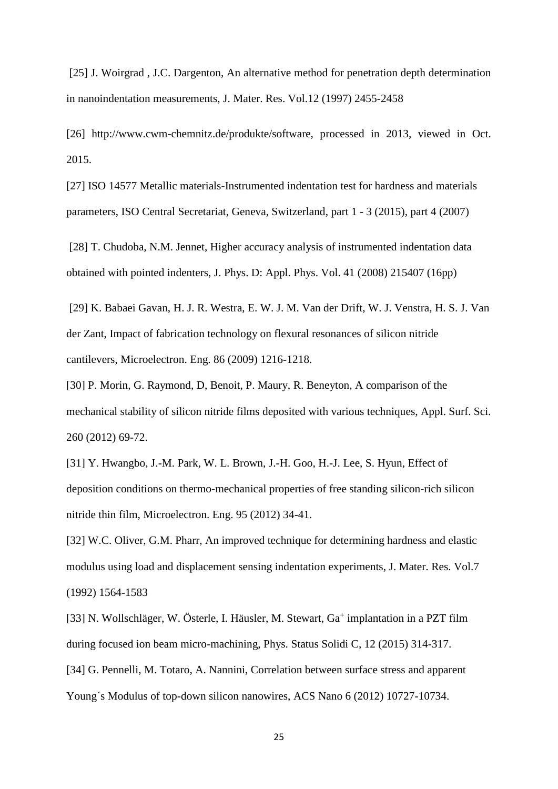[25] J. Woirgrad, J.C. Dargenton, An alternative method for penetration depth determination in nanoindentation measurements, J. Mater. Res. Vol.12 (1997) 2455-2458

[26] http://www.cwm-chemnitz.de/produkte/software, processed in 2013, viewed in Oct. 2015.

[27] ISO 14577 Metallic materials-Instrumented indentation test for hardness and materials parameters, ISO Central Secretariat, Geneva, Switzerland, part 1 - 3 (2015), part 4 (2007)

[28] T. Chudoba, N.M. Jennet, Higher accuracy analysis of instrumented indentation data obtained with pointed indenters, J. Phys. D: Appl. Phys. Vol. 41 (2008) 215407 (16pp)

[29] K. Babaei Gavan, H. J. R. Westra, E. W. J. M. Van der Drift, W. J. Venstra, H. S. J. Van der Zant, Impact of fabrication technology on flexural resonances of silicon nitride cantilevers, Microelectron. Eng. 86 (2009) 1216-1218.

[30] P. Morin, G. Raymond, D, Benoit, P. Maury, R. Beneyton, A comparison of the mechanical stability of silicon nitride films deposited with various techniques, Appl. Surf. Sci. 260 (2012) 69-72.

[31] Y. Hwangbo, J.-M. Park, W. L. Brown, J.-H. Goo, H.-J. Lee, S. Hyun, Effect of deposition conditions on thermo-mechanical properties of free standing silicon-rich silicon nitride thin film, Microelectron. Eng. 95 (2012) 34-41.

[32] W.C. Oliver, G.M. Pharr, An improved technique for determining hardness and elastic modulus using load and displacement sensing indentation experiments, J. Mater. Res. Vol.7 (1992) 1564-1583

[33] N. Wollschläger, W. Österle, I. Häusler, M. Stewart, Ga<sup>+</sup> implantation in a PZT film during focused ion beam micro-machining, Phys. Status Solidi C, 12 (2015) 314-317.

[34] G. Pennelli, M. Totaro, A. Nannini, Correlation between surface stress and apparent Young´s Modulus of top-down silicon nanowires, ACS Nano 6 (2012) 10727-10734.